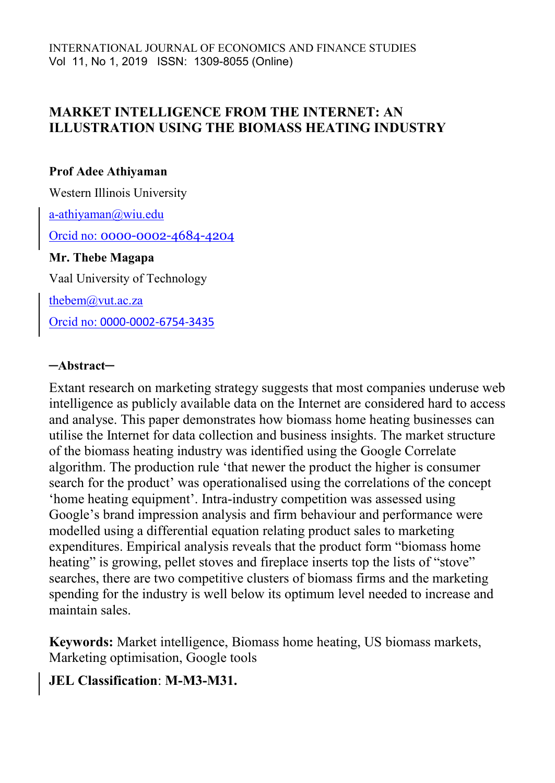### **MARKET INTELLIGENCE FROM THE INTERNET: AN ILLUSTRATION USING THE BIOMASS HEATING INDUSTRY**

### **Prof Adee Athiyaman**

Western Illinois University

[a-athiyaman@wiu.edu](mailto:a-athiyaman@wiu.edu)

Orcid no: 0000-0002-4684-4204

### **Mr. Thebe Magapa**

Vaal University of Technology

[thebem@vut.ac.za](mailto:thebem@vut.ac.za)

Orcid no: 0000-0002-6754-3435

### ─**Abstract**─

Extant research on marketing strategy suggests that most companies underuse web intelligence as publicly available data on the Internet are considered hard to access and analyse. This paper demonstrates how biomass home heating businesses can utilise the Internet for data collection and business insights. The market structure of the biomass heating industry was identified using the Google Correlate algorithm. The production rule 'that newer the product the higher is consumer search for the product' was operationalised using the correlations of the concept 'home heating equipment'. Intra-industry competition was assessed using Google's brand impression analysis and firm behaviour and performance were modelled using a differential equation relating product sales to marketing expenditures. Empirical analysis reveals that the product form "biomass home heating" is growing, pellet stoves and fireplace inserts top the lists of "stove" searches, there are two competitive clusters of biomass firms and the marketing spending for the industry is well below its optimum level needed to increase and maintain sales.

**Keywords:** Market intelligence, Biomass home heating, US biomass markets, Marketing optimisation, Google tools

### **JEL Classification**: **M-M3-M31.**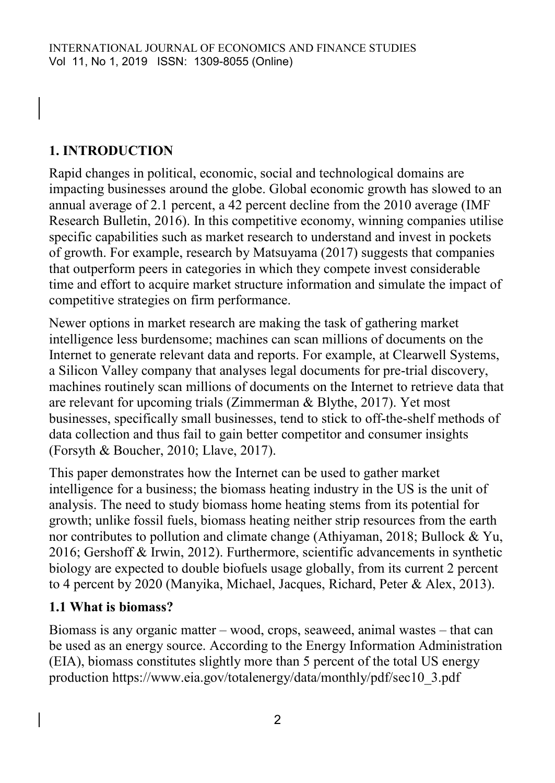# **1. INTRODUCTION**

Rapid changes in political, economic, social and technological domains are impacting businesses around the globe. Global economic growth has slowed to an annual average of 2.1 percent, a 42 percent decline from the 2010 average (IMF Research Bulletin, 2016). In this competitive economy, winning companies utilise specific capabilities such as market research to understand and invest in pockets of growth. For example, research by Matsuyama (2017) suggests that companies that outperform peers in categories in which they compete invest considerable time and effort to acquire market structure information and simulate the impact of competitive strategies on firm performance.

Newer options in market research are making the task of gathering market intelligence less burdensome; machines can scan millions of documents on the Internet to generate relevant data and reports. For example, at Clearwell Systems, a Silicon Valley company that analyses legal documents for pre-trial discovery, machines routinely scan millions of documents on the Internet to retrieve data that are relevant for upcoming trials (Zimmerman & Blythe, 2017). Yet most businesses, specifically small businesses, tend to stick to off-the-shelf methods of data collection and thus fail to gain better competitor and consumer insights (Forsyth & Boucher, 2010; Llave, 2017).

This paper demonstrates how the Internet can be used to gather market intelligence for a business; the biomass heating industry in the US is the unit of analysis. The need to study biomass home heating stems from its potential for growth; unlike fossil fuels, biomass heating neither strip resources from the earth nor contributes to pollution and climate change (Athiyaman, 2018; Bullock & Yu, 2016; Gershoff & Irwin, 2012). Furthermore, scientific advancements in synthetic biology are expected to double biofuels usage globally, from its current 2 percent to 4 percent by 2020 (Manyika, Michael, Jacques, Richard, Peter & Alex, 2013).

### **1.1 What is biomass?**

Biomass is any organic matter – wood, crops, seaweed, animal wastes – that can be used as an energy source. According to the Energy Information Administration (EIA), biomass constitutes slightly more than 5 percent of the total US energy production https://www.eia.gov/totalenergy/data/monthly/pdf/sec10\_3.pdf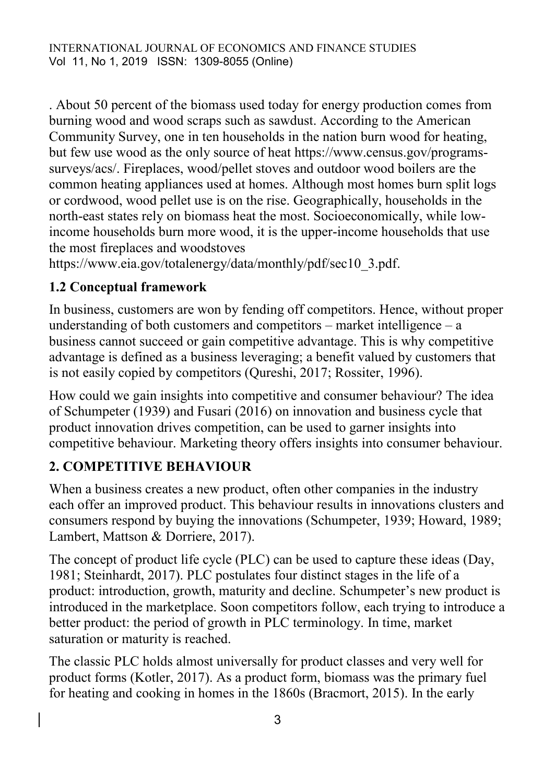. About 50 percent of the biomass used today for energy production comes from burning wood and wood scraps such as sawdust. According to the American Community Survey, one in ten households in the nation burn wood for heating, but few use wood as the only source of heat https://www.census.gov/programssurveys/acs/. Fireplaces, wood/pellet stoves and outdoor wood boilers are the common heating appliances used at homes. Although most homes burn split logs or cordwood, wood pellet use is on the rise. Geographically, households in the north-east states rely on biomass heat the most. Socioeconomically, while lowincome households burn more wood, it is the upper-income households that use the most fireplaces and woodstoves

https://www.eia.gov/totalenergy/data/monthly/pdf/sec10\_3.pdf.

### **1.2 Conceptual framework**

In business, customers are won by fending off competitors. Hence, without proper understanding of both customers and competitors – market intelligence – a business cannot succeed or gain competitive advantage. This is why competitive advantage is defined as a business leveraging; a benefit valued by customers that is not easily copied by competitors (Qureshi, 2017; Rossiter, 1996).

How could we gain insights into competitive and consumer behaviour? The idea of Schumpeter (1939) and Fusari (2016) on innovation and business cycle that product innovation drives competition, can be used to garner insights into competitive behaviour. Marketing theory offers insights into consumer behaviour.

# **2. COMPETITIVE BEHAVIOUR**

When a business creates a new product, often other companies in the industry each offer an improved product. This behaviour results in innovations clusters and consumers respond by buying the innovations (Schumpeter, 1939; Howard, 1989; Lambert, Mattson & Dorriere, 2017).

The concept of product life cycle (PLC) can be used to capture these ideas (Day, 1981; Steinhardt, 2017). PLC postulates four distinct stages in the life of a product: introduction, growth, maturity and decline. Schumpeter's new product is introduced in the marketplace. Soon competitors follow, each trying to introduce a better product: the period of growth in PLC terminology. In time, market saturation or maturity is reached.

The classic PLC holds almost universally for product classes and very well for product forms (Kotler, 2017). As a product form, biomass was the primary fuel for heating and cooking in homes in the 1860s (Bracmort, 2015). In the early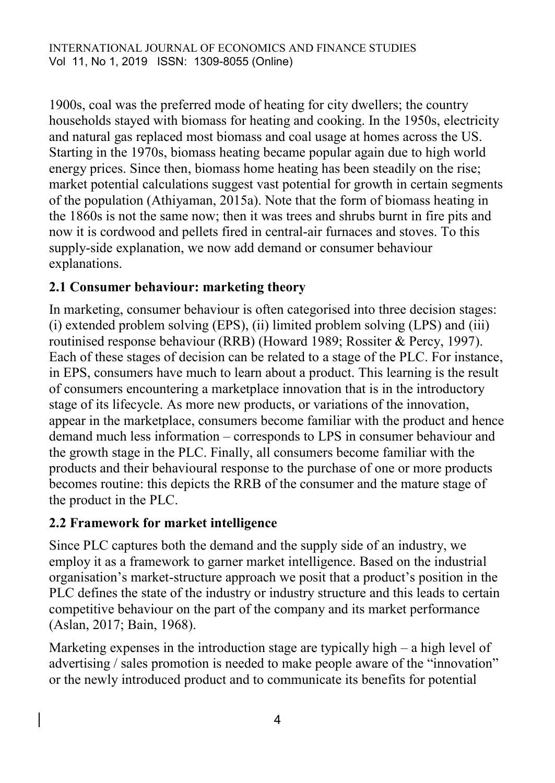1900s, coal was the preferred mode of heating for city dwellers; the country households stayed with biomass for heating and cooking. In the 1950s, electricity and natural gas replaced most biomass and coal usage at homes across the US. Starting in the 1970s, biomass heating became popular again due to high world energy prices. Since then, biomass home heating has been steadily on the rise; market potential calculations suggest vast potential for growth in certain segments of the population (Athiyaman, 2015a). Note that the form of biomass heating in the 1860s is not the same now; then it was trees and shrubs burnt in fire pits and now it is cordwood and pellets fired in central-air furnaces and stoves. To this supply-side explanation, we now add demand or consumer behaviour explanations.

### **2.1 Consumer behaviour: marketing theory**

In marketing, consumer behaviour is often categorised into three decision stages: (i) extended problem solving (EPS), (ii) limited problem solving (LPS) and (iii) routinised response behaviour (RRB) (Howard 1989; Rossiter & Percy, 1997). Each of these stages of decision can be related to a stage of the PLC. For instance, in EPS, consumers have much to learn about a product. This learning is the result of consumers encountering a marketplace innovation that is in the introductory stage of its lifecycle. As more new products, or variations of the innovation, appear in the marketplace, consumers become familiar with the product and hence demand much less information – corresponds to LPS in consumer behaviour and the growth stage in the PLC. Finally, all consumers become familiar with the products and their behavioural response to the purchase of one or more products becomes routine: this depicts the RRB of the consumer and the mature stage of the product in the PLC.

### **2.2 Framework for market intelligence**

Since PLC captures both the demand and the supply side of an industry, we employ it as a framework to garner market intelligence. Based on the industrial organisation's market-structure approach we posit that a product's position in the PLC defines the state of the industry or industry structure and this leads to certain competitive behaviour on the part of the company and its market performance (Aslan, 2017; Bain, 1968).

Marketing expenses in the introduction stage are typically high – a high level of advertising / sales promotion is needed to make people aware of the "innovation" or the newly introduced product and to communicate its benefits for potential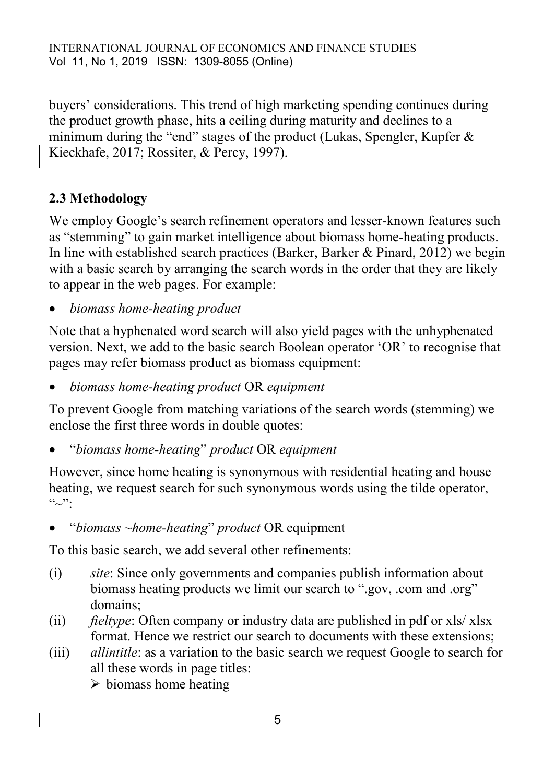buyers' considerations. This trend of high marketing spending continues during the product growth phase, hits a ceiling during maturity and declines to a minimum during the "end" stages of the product (Lukas, Spengler, Kupfer & Kieckhafe, 2017; Rossiter, & Percy, 1997).

# **2.3 Methodology**

We employ Google's search refinement operators and lesser-known features such as "stemming" to gain market intelligence about biomass home-heating products. In line with established search practices (Barker, Barker & Pinard, 2012) we begin with a basic search by arranging the search words in the order that they are likely to appear in the web pages. For example:

*biomass home-heating product*

Note that a hyphenated word search will also yield pages with the unhyphenated version. Next, we add to the basic search Boolean operator 'OR' to recognise that pages may refer biomass product as biomass equipment:

*biomass home-heating product* OR *equipment*

To prevent Google from matching variations of the search words (stemming) we enclose the first three words in double quotes:

"*biomass home-heating*" *product* OR *equipment*

However, since home heating is synonymous with residential heating and house heating, we request search for such synonymous words using the tilde operator,  $``\sim$ ":

"*biomass ~home-heating*" *product* OR equipment

To this basic search, we add several other refinements:

- (i) *site*: Since only governments and companies publish information about biomass heating products we limit our search to ".gov, .com and .org" domains;
- (ii) *fieltype*: Often company or industry data are published in pdf or xls/ xlsx format. Hence we restrict our search to documents with these extensions;
- (iii) *allintitle*: as a variation to the basic search we request Google to search for all these words in page titles:

 $\triangleright$  biomass home heating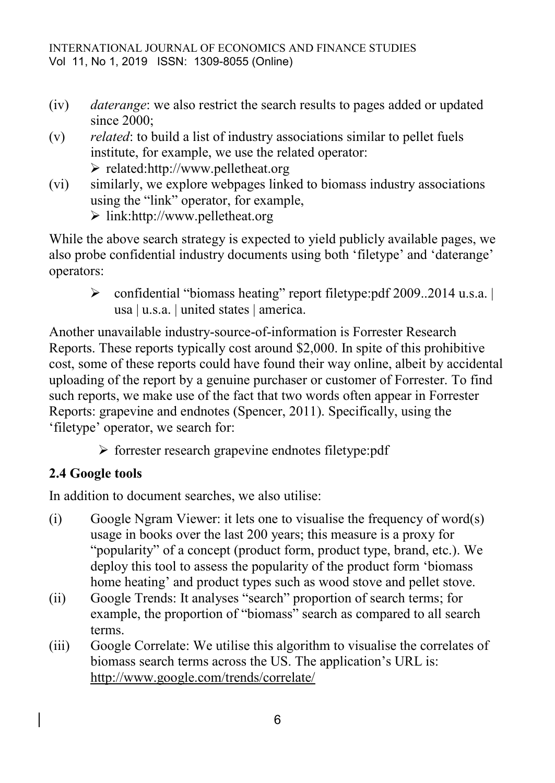- (iv) *daterange*: we also restrict the search results to pages added or updated since 2000;
- (v) *related*: to build a list of industry associations similar to pellet fuels institute, for example, we use the related operator:  $\triangleright$  related:http://www.pelletheat.org
- (vi) similarly, we explore webpages linked to biomass industry associations using the "link" operator, for example,

link:http://www.pelletheat.org

While the above search strategy is expected to yield publicly available pages, we also probe confidential industry documents using both 'filetype' and 'daterange' operators:

 confidential "biomass heating" report filetype:pdf 2009..2014 u.s.a. | usa | u.s.a. | united states | america.

Another unavailable industry-source-of-information is Forrester Research Reports. These reports typically cost around \$2,000. In spite of this prohibitive cost, some of these reports could have found their way online, albeit by accidental uploading of the report by a genuine purchaser or customer of Forrester. To find such reports, we make use of the fact that two words often appear in Forrester Reports: grapevine and endnotes (Spencer, 2011). Specifically, using the 'filetype' operator, we search for:

 $\triangleright$  forrester research grapevine endnotes filetype:pdf

# **2.4 Google tools**

In addition to document searches, we also utilise:

- (i) Google Ngram Viewer: it lets one to visualise the frequency of word(s) usage in books over the last 200 years; this measure is a proxy for "popularity" of a concept (product form, product type, brand, etc.). We deploy this tool to assess the popularity of the product form 'biomass home heating' and product types such as wood stove and pellet stove.
- (ii) Google Trends: It analyses "search" proportion of search terms; for example, the proportion of "biomass" search as compared to all search terms.
- (iii) Google Correlate: We utilise this algorithm to visualise the correlates of biomass search terms across the US. The application's URL is: <http://www.google.com/trends/correlate/>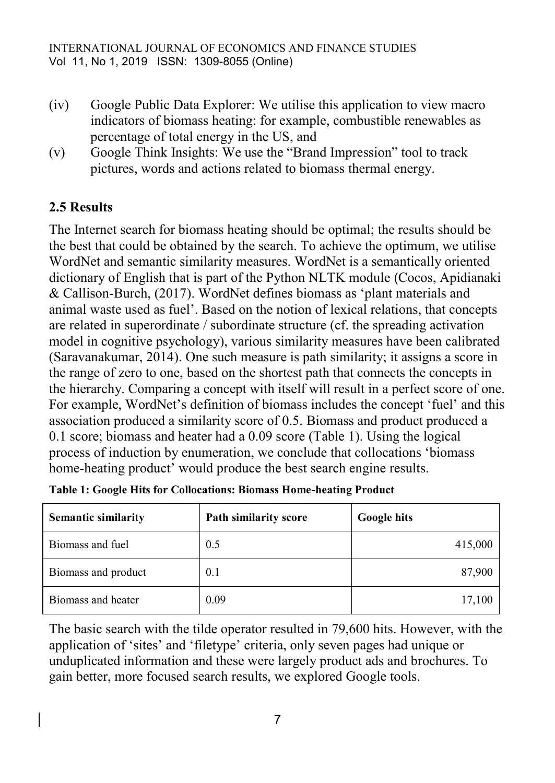- (iv) Google Public Data Explorer: We utilise this application to view macro indicators of biomass heating: for example, combustible renewables as percentage of total energy in the US, and
- (v) Google Think Insights: We use the "Brand Impression" tool to track pictures, words and actions related to biomass thermal energy.

## **2.5 Results**

The Internet search for biomass heating should be optimal; the results should be the best that could be obtained by the search. To achieve the optimum, we utilise WordNet and semantic similarity measures. WordNet is a semantically oriented dictionary of English that is part of the Python NLTK module (Cocos, Apidianaki & Callison-Burch, (2017). WordNet defines biomass as 'plant materials and animal waste used as fuel'. Based on the notion of lexical relations, that concepts are related in superordinate / subordinate structure (cf. the spreading activation model in cognitive psychology), various similarity measures have been calibrated (Saravanakumar, 2014). One such measure is path similarity; it assigns a score in the range of zero to one, based on the shortest path that connects the concepts in the hierarchy. Comparing a concept with itself will result in a perfect score of one. For example, WordNet's definition of biomass includes the concept 'fuel' and this association produced a similarity score of 0.5. Biomass and product produced a 0.1 score; biomass and heater had a 0.09 score (Table 1). Using the logical process of induction by enumeration, we conclude that collocations 'biomass home-heating product' would produce the best search engine results.

| <b>Semantic similarity</b> | Path similarity score | <b>Google hits</b> |
|----------------------------|-----------------------|--------------------|
| Biomass and fuel           | 0.5                   | 415,000            |
| Biomass and product        | 0.1                   | 87,900             |
| Biomass and heater         | 0.09                  | 17,100             |

|  |  | Table 1: Google Hits for Collocations: Biomass Home-heating Product |  |  |
|--|--|---------------------------------------------------------------------|--|--|
|  |  |                                                                     |  |  |
|  |  |                                                                     |  |  |
|  |  |                                                                     |  |  |

The basic search with the tilde operator resulted in 79,600 hits. However, with the application of 'sites' and 'filetype' criteria, only seven pages had unique or unduplicated information and these were largely product ads and brochures. To gain better, more focused search results, we explored Google tools.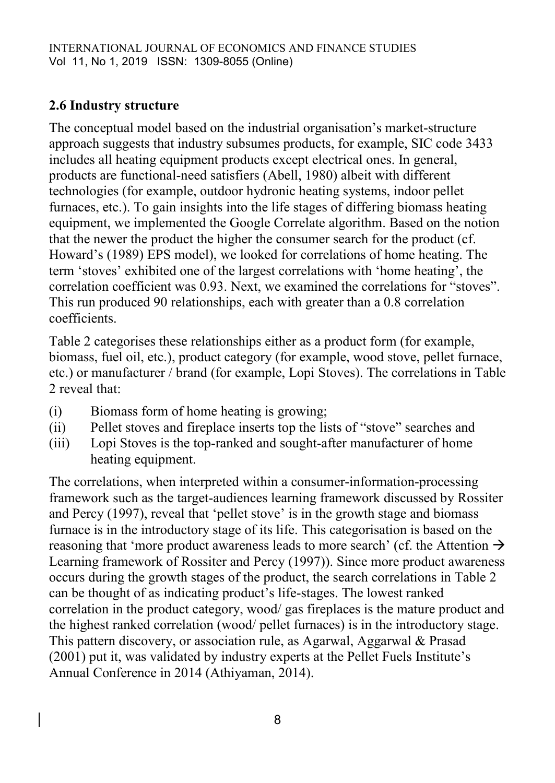# **2.6 Industry structure**

The conceptual model based on the industrial organisation's market-structure approach suggests that industry subsumes products, for example, SIC code 3433 includes all heating equipment products except electrical ones. In general, products are functional-need satisfiers (Abell, 1980) albeit with different technologies (for example, outdoor hydronic heating systems, indoor pellet furnaces, etc.). To gain insights into the life stages of differing biomass heating equipment, we implemented the Google Correlate algorithm. Based on the notion that the newer the product the higher the consumer search for the product (cf. Howard's (1989) EPS model), we looked for correlations of home heating. The term 'stoves' exhibited one of the largest correlations with 'home heating', the correlation coefficient was 0.93. Next, we examined the correlations for "stoves". This run produced 90 relationships, each with greater than a 0.8 correlation coefficients.

Table 2 categorises these relationships either as a product form (for example, biomass, fuel oil, etc.), product category (for example, wood stove, pellet furnace, etc.) or manufacturer / brand (for example, Lopi Stoves). The correlations in Table 2 reveal that:

- (i) Biomass form of home heating is growing;
- (ii) Pellet stoves and fireplace inserts top the lists of "stove" searches and
- (iii) Lopi Stoves is the top-ranked and sought-after manufacturer of home heating equipment.

The correlations, when interpreted within a consumer-information-processing framework such as the target-audiences learning framework discussed by Rossiter and Percy (1997), reveal that 'pellet stove' is in the growth stage and biomass furnace is in the introductory stage of its life. This categorisation is based on the reasoning that 'more product awareness leads to more search' (cf. the Attention  $\rightarrow$ Learning framework of Rossiter and Percy (1997)). Since more product awareness occurs during the growth stages of the product, the search correlations in Table 2 can be thought of as indicating product's life-stages. The lowest ranked correlation in the product category, wood/ gas fireplaces is the mature product and the highest ranked correlation (wood/ pellet furnaces) is in the introductory stage. This pattern discovery, or association rule, as Agarwal, Aggarwal & Prasad (2001) put it, was validated by industry experts at the Pellet Fuels Institute's Annual Conference in 2014 (Athiyaman, 2014).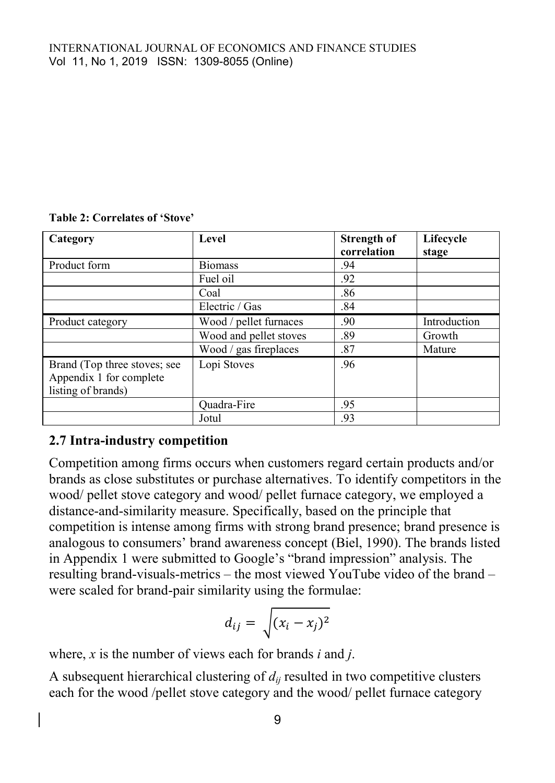| Category                                                                      | Level                  | <b>Strength of</b><br>correlation | Lifecycle<br>stage |
|-------------------------------------------------------------------------------|------------------------|-----------------------------------|--------------------|
| Product form                                                                  | <b>Biomass</b>         | .94                               |                    |
|                                                                               | Fuel oil               | .92                               |                    |
|                                                                               | Coal                   | .86                               |                    |
|                                                                               | Electric / Gas         | .84                               |                    |
| Product category                                                              | Wood / pellet furnaces | .90                               | Introduction       |
|                                                                               | Wood and pellet stoves | .89                               | Growth             |
|                                                                               | Wood / gas fireplaces  | .87                               | Mature             |
| Brand (Top three stoves; see<br>Appendix 1 for complete<br>listing of brands) | Lopi Stoves            | .96                               |                    |
|                                                                               | Quadra-Fire            | .95                               |                    |
|                                                                               | Jotul                  | .93                               |                    |

#### **Table 2: Correlates of 'Stove'**

### **2.7 Intra-industry competition**

Competition among firms occurs when customers regard certain products and/or brands as close substitutes or purchase alternatives. To identify competitors in the wood/ pellet stove category and wood/ pellet furnace category, we employed a distance-and-similarity measure. Specifically, based on the principle that competition is intense among firms with strong brand presence; brand presence is analogous to consumers' brand awareness concept (Biel, 1990). The brands listed in Appendix 1 were submitted to Google's "brand impression" analysis. The resulting brand-visuals-metrics – the most viewed YouTube video of the brand – were scaled for brand-pair similarity using the formulae:

$$
d_{ij} = \sqrt{(x_i - x_j)^2}
$$

where, *x* is the number of views each for brands *i* and *j*.

A subsequent hierarchical clustering of *dij* resulted in two competitive clusters each for the wood /pellet stove category and the wood/ pellet furnace category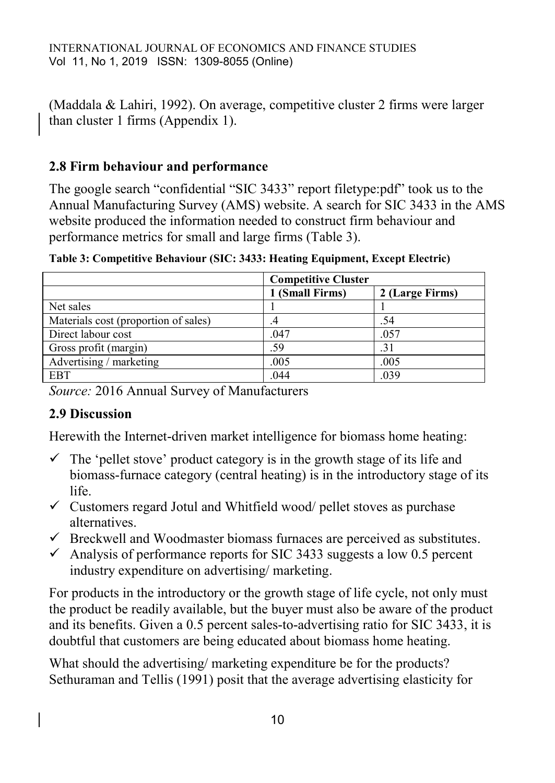(Maddala & Lahiri, 1992). On average, competitive cluster 2 firms were larger than cluster 1 firms (Appendix 1).

### **2.8 Firm behaviour and performance**

The google search "confidential "SIC 3433" report filetype:pdf" took us to the Annual Manufacturing Survey (AMS) website. A search for SIC 3433 in the AMS website produced the information needed to construct firm behaviour and performance metrics for small and large firms (Table 3).

|                                      | <b>Competitive Cluster</b> |                 |  |
|--------------------------------------|----------------------------|-----------------|--|
|                                      | 1 (Small Firms)            | 2 (Large Firms) |  |
| Net sales                            |                            |                 |  |
| Materials cost (proportion of sales) | .+                         | .54             |  |
| Direct labour cost                   | .047                       | .057            |  |
| Gross profit (margin)                | .59                        | .31             |  |
| Advertising / marketing              | .005                       | .005            |  |
| <b>EBT</b>                           | .044                       | .039            |  |

**Table 3: Competitive Behaviour (SIC: 3433: Heating Equipment, Except Electric)** 

*Source:* 2016 Annual Survey of Manufacturers

### **2.9 Discussion**

Herewith the Internet-driven market intelligence for biomass home heating:

- $\checkmark$  The 'pellet stove' product category is in the growth stage of its life and biomass-furnace category (central heating) is in the introductory stage of its life.
- $\checkmark$  Customers regard Jotul and Whitfield wood/ pellet stoves as purchase alternatives.
- $\checkmark$  Breckwell and Woodmaster biomass furnaces are perceived as substitutes.
- $\checkmark$  Analysis of performance reports for SIC 3433 suggests a low 0.5 percent industry expenditure on advertising/ marketing.

For products in the introductory or the growth stage of life cycle, not only must the product be readily available, but the buyer must also be aware of the product and its benefits. Given a 0.5 percent sales-to-advertising ratio for SIC 3433, it is doubtful that customers are being educated about biomass home heating.

What should the advertising/ marketing expenditure be for the products? Sethuraman and Tellis (1991) posit that the average advertising elasticity for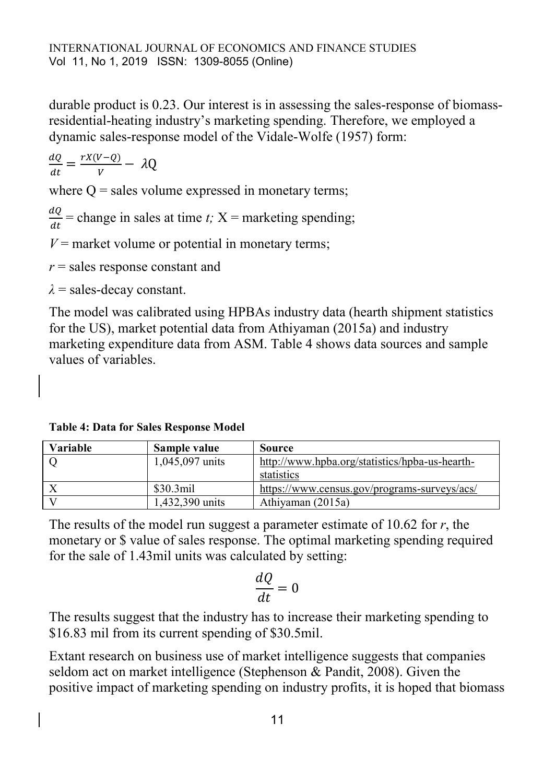durable product is 0.23. Our interest is in assessing the sales-response of biomassresidential-heating industry's marketing spending. Therefore, we employed a dynamic sales-response model of the Vidale-Wolfe (1957) form:

 $\boldsymbol{d}$  $\frac{dQ}{dt} = \frac{r}{t}$  $\frac{V-V}{V}$  -

where  $Q =$  sales volume expressed in monetary terms;

 $\boldsymbol{d}$  $\frac{du}{dt}$  = change in sales at time *t*;  $X$  = marketing spending;

 $V =$  market volume or potential in monetary terms;

*r* = sales response constant and

 $\lambda$  = sales-decay constant.

The model was calibrated using HPBAs industry data (hearth shipment statistics for the US), market potential data from Athiyaman (2015a) and industry marketing expenditure data from ASM. Table 4 shows data sources and sample values of variables.

**Table 4: Data for Sales Response Model**

| Variable | Sample value         | Source                                         |
|----------|----------------------|------------------------------------------------|
|          | 1,045,097 units      | http://www.hpba.org/statistics/hpba-us-hearth- |
|          |                      | statistics                                     |
|          | \$30.3 <sub>mi</sub> | https://www.census.gov/programs-surveys/acs/   |
|          | 1.432.390 units      | Athiyaman (2015a)                              |

The results of the model run suggest a parameter estimate of 10.62 for *r*, the monetary or \$ value of sales response. The optimal marketing spending required for the sale of 1.43mil units was calculated by setting:

$$
\frac{dQ}{dt} = 0
$$

The results suggest that the industry has to increase their marketing spending to \$16.83 mil from its current spending of \$30.5mil.

Extant research on business use of market intelligence suggests that companies seldom act on market intelligence (Stephenson & Pandit, 2008). Given the positive impact of marketing spending on industry profits, it is hoped that biomass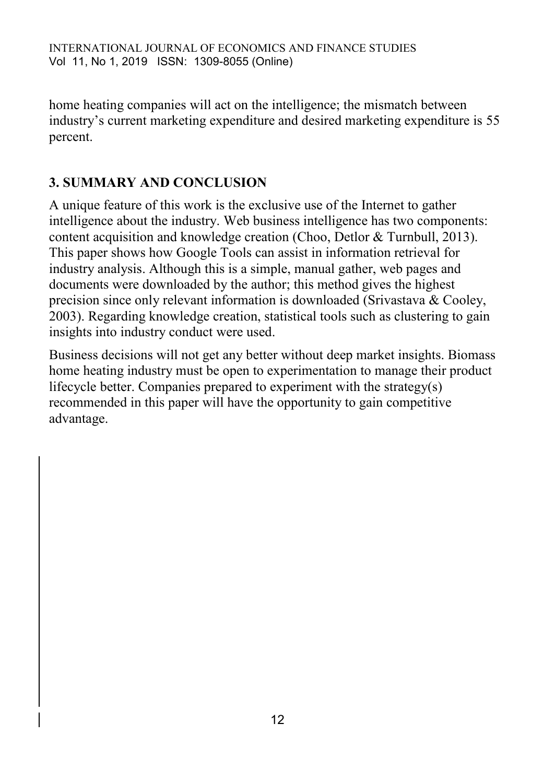home heating companies will act on the intelligence; the mismatch between industry's current marketing expenditure and desired marketing expenditure is 55 percent.

# **3. SUMMARY AND CONCLUSION**

A unique feature of this work is the exclusive use of the Internet to gather intelligence about the industry. Web business intelligence has two components: content acquisition and knowledge creation (Choo, Detlor & Turnbull, 2013). This paper shows how Google Tools can assist in information retrieval for industry analysis. Although this is a simple, manual gather, web pages and documents were downloaded by the author; this method gives the highest precision since only relevant information is downloaded (Srivastava & Cooley, 2003). Regarding knowledge creation, statistical tools such as clustering to gain insights into industry conduct were used.

Business decisions will not get any better without deep market insights. Biomass home heating industry must be open to experimentation to manage their product lifecycle better. Companies prepared to experiment with the strategy(s) recommended in this paper will have the opportunity to gain competitive advantage.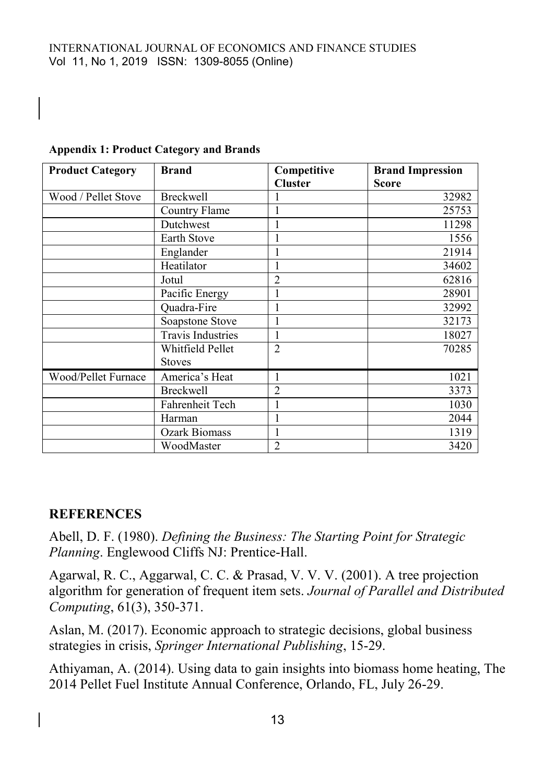| <b>Product Category</b> | <b>Brand</b>             | Competitive    | <b>Brand Impression</b> |
|-------------------------|--------------------------|----------------|-------------------------|
|                         |                          | <b>Cluster</b> | <b>Score</b>            |
| Wood / Pellet Stove     | <b>Breckwell</b>         |                | 32982                   |
|                         | Country Flame            |                | 25753                   |
|                         | Dutchwest                |                | 11298                   |
|                         | Earth Stove              | 1              | 1556                    |
|                         | Englander                |                | 21914                   |
|                         | Heatilator               | 1              | 34602                   |
|                         | Jotul                    | $\overline{2}$ | 62816                   |
|                         | Pacific Energy           |                | 28901                   |
|                         | Quadra-Fire              |                | 32992                   |
|                         | Soapstone Stove          | 1              | 32173                   |
|                         | <b>Travis Industries</b> | 1              | 18027                   |
|                         | Whitfield Pellet         | $\overline{2}$ | 70285                   |
|                         | <b>Stoves</b>            |                |                         |
| Wood/Pellet Furnace     | America's Heat           | 1              | 1021                    |
|                         | <b>Breckwell</b>         | 2              | 3373                    |
|                         | Fahrenheit Tech          |                | 1030                    |
|                         | Harman                   |                | 2044                    |
|                         | <b>Ozark Biomass</b>     |                | 1319                    |
|                         | WoodMaster               | $\overline{2}$ | 3420                    |

### **Appendix 1: Product Category and Brands**

### **REFERENCES**

Abell, D. F. (1980). *Defining the Business: The Starting Point for Strategic Planning*. Englewood Cliffs NJ: Prentice-Hall.

Agarwal, R. C., Aggarwal, C. C. & Prasad, V. V. V. (2001). A tree projection algorithm for generation of frequent item sets. *Journal of Parallel and Distributed Computing*, 61(3), 350-371.

Aslan, M. (2017). Economic approach to strategic decisions, global business strategies in crisis, *Springer International Publishing*, 15-29.

Athiyaman, A. (2014). Using data to gain insights into biomass home heating, The 2014 Pellet Fuel Institute Annual Conference, Orlando, FL, July 26-29.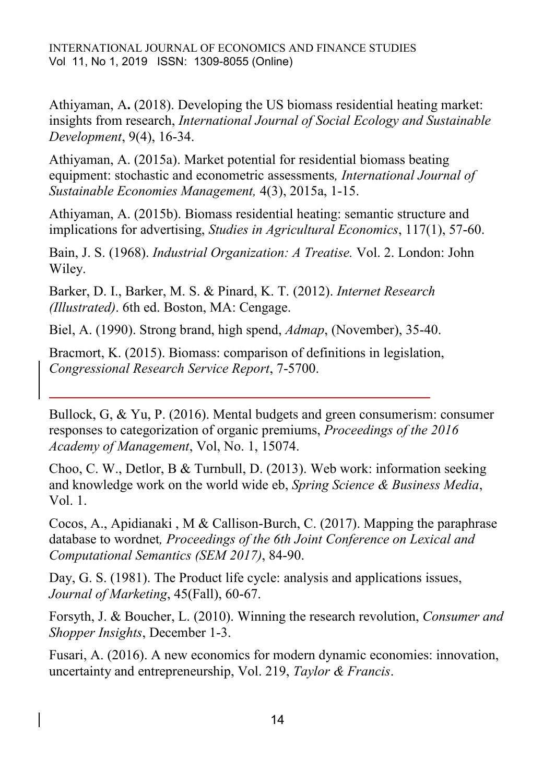Athiyaman, A**.** (2018). Developing the US biomass residential heating market: insights from research, *International Journal of Social Ecology and Sustainable Development*, 9(4), 16-34.

Athiyaman, A. (2015a). Market potential for residential biomass beating equipment: stochastic and econometric assessments*, International Journal of Sustainable Economies Management,* 4(3), 2015a, 1-15.

Athiyaman, A. (2015b). Biomass residential heating: semantic structure and implications for advertising, *Studies in Agricultural Economics*, 117(1), 57-60.

Bain, J. S. (1968). *Industrial Organization: A Treatise.* Vol. 2. London: John Wiley.

Barker, D. I., Barker, M. S. & Pinard, K. T. (2012). *Internet Research (Illustrated)*. 6th ed. Boston, MA: Cengage.

Biel, A. (1990). Strong brand, high spend, *Admap*, (November), 35-40.

Bracmort, K. (2015). Biomass: comparison of definitions in legislation, *Congressional Research Service Report*, 7-5700.

Bullock, G, & Yu, P. (2016). Mental budgets and green consumerism: consumer responses to categorization of organic premiums, *Proceedings of the 2016 Academy of Management*, Vol, No. 1, 15074.

Choo, C. W., Detlor, B & Turnbull, D. (2013). Web work: information seeking and knowledge work on the world wide eb, *Spring Science & Business Media*, Vol. 1.

Cocos, A., Apidianaki , M & Callison-Burch, C. (2017). Mapping the paraphrase database to wordnet*, Proceedings of the 6th Joint Conference on Lexical and Computational Semantics (SEM 2017)*, 84-90.

Day, G. S. (1981). The Product life cycle: analysis and applications issues, *Journal of Marketing*, 45(Fall), 60-67.

Forsyth, J. & Boucher, L. (2010). Winning the research revolution, *Consumer and Shopper Insights*, December 1-3.

Fusari, A. (2016). A new economics for modern dynamic economies: innovation, uncertainty and entrepreneurship, Vol. 219, *Taylor & Francis*.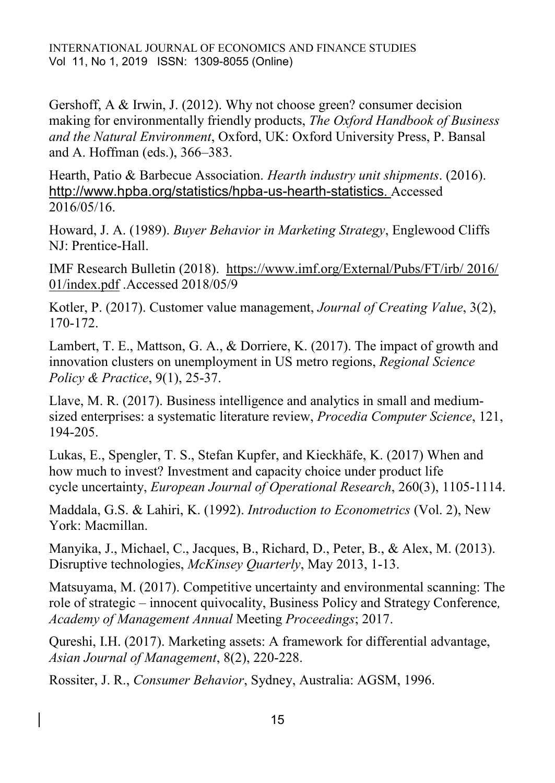INTERNATIONAL JOURNAL OF ECONOMICS AND FINANCE STUDIES Vol 11, No 1, 2019 ISSN: 1309-8055 (Online)

Gershoff, A & Irwin, J. (2012). Why not choose green? consumer decision making for environmentally friendly products, *The Oxford Handbook of Business and the Natural Environment*, Oxford, UK: Oxford University Press, P. Bansal and A. Hoffman (eds.), 366–383.

Hearth, Patio & Barbecue Association. *Hearth industry unit shipments*. (2016). <http://www.hpba.org/statistics/hpba-us-hearth-statistics>. Accessed 2016/05/16.

Howard, J. A. (1989). *Buyer Behavior in Marketing Strategy*, Englewood Cliffs NJ: Prentice-Hall.

IMF Research Bulletin (2018). [https://www.imf.org/External/Pubs/FT/irb/ 2016/](https://www.imf.org/External/Pubs/FT/irb/%202016/%2001/index.pdf)  [01/index.pdf](https://www.imf.org/External/Pubs/FT/irb/%202016/%2001/index.pdf) .Accessed 2018/05/9

Kotler, P. (2017). Customer value management, *Journal of Creating Value*, 3(2), 170-172.

Lambert, T. E., Mattson, G. A., & Dorriere, K. (2017). The impact of growth and innovation clusters on unemployment in US metro regions, *Regional Science Policy & Practice*, 9(1), 25-37.

Llave, M. R. (2017). Business intelligence and analytics in small and mediumsized enterprises: a systematic literature review, *Procedia Computer Science*, 121, 194-205.

Lukas, E., Spengler, T. S., Stefan Kupfer, and Kieckhäfe, K. (2017) When and how much to invest? Investment and capacity choice under product life cycle uncertainty, *European Journal of Operational Research*, 260(3), 1105-1114.

Maddala, G.S. & Lahiri, K. (1992). *Introduction to Econometrics* (Vol. 2), New York: Macmillan.

Manyika, J., Michael, C., Jacques, B., Richard, D., Peter, B., & Alex, M. (2013). Disruptive technologies, *McKinsey Quarterly*, May 2013, 1-13.

Matsuyama, M. (2017). Competitive uncertainty and environmental scanning: The role of strategic – innocent quivocality, Business Policy and Strategy Conference*, Academy of Management Annual* Meeting *Proceedings*; 2017.

Qureshi, I.H. (2017). Marketing assets: A framework for differential advantage, *Asian Journal of Management*, 8(2), 220-228.

Rossiter, J. R., *Consumer Behavior*, Sydney, Australia: AGSM, 1996.